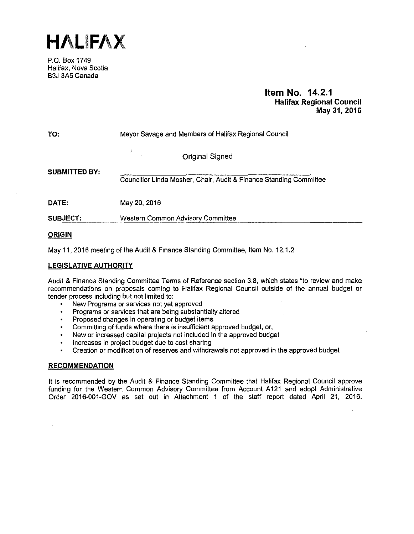**HALIFAX** 

P.O. Box 1749 Halifax, Nova Scotia B3J 3A5 Canada

# **Item No. 14.2.1 Halifax Regional Council May 31, 2016**

| TO:                  | Mayor Savage and Members of Halifax Regional Council               |  |  |
|----------------------|--------------------------------------------------------------------|--|--|
|                      | <b>Original Signed</b>                                             |  |  |
| <b>SUBMITTED BY:</b> | Councillor Linda Mosher, Chair, Audit & Finance Standing Committee |  |  |
| <b>DATE:</b>         | May 20, 2016                                                       |  |  |
| <b>SUBJECT:</b>      | Western Common Advisory Committee                                  |  |  |

# **ORIGIN**

May 11, 2016 meeting of the Audit & Finance Standing Committee, Item No. 12.1.2

# **LEGISLATIVE AUTHORITY**

Audit & Finance Standing Committee Terms of Reference section 3.8, which states "to review and make recommendations on proposals coming to Halifax Regional Council outside of the annual budget or tender process including but not limited to:

- New Programs or services not yet approved  $\bullet$
- Programs or services that are being substantially altered
- Proposed changes in operating or budget items
- Committing of funds where there is insufficient approved budget, or,
- New or increased capital projects not included in the approved budget
- Increases in project budget due to cost sharing
- Creation or modification of reserves and withdrawals not approved in the approved budget

# **RECOMMENDATION**

It is recommended by the Audit & Finance Standing Committee that Halifax Regional Council approve funding for the Western Common Advisory Committee from Account A121 and adopt Administrative Order 2016-001-GOV as set out in Attachment 1 of the staff report dated April 21, 2016.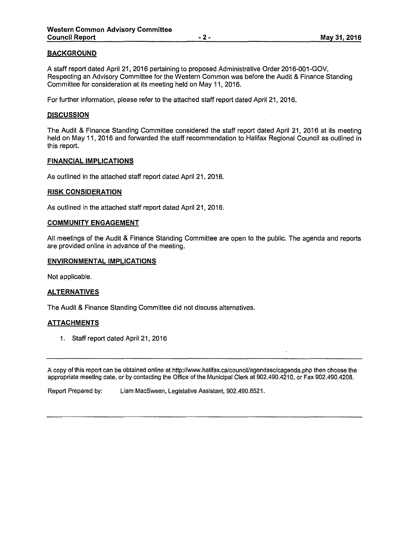# **BACKGROUND**

A staff report dated April 21, 2016 pertaining to proposed Administrative Order 2016-001-GOV, Respecting an Advisory Committee for the Western Common was before the Audit & Finance Standing Committee for consideration at its meeting held on May 11, 2016.

For further information, please refer to the attached staff report dated April 21, 2016.

## **DISCUSSION**

The Audit & Finance Standing Committee considered the staff report dated April 21, 2016 at its meeting held on May 11, 2016 and forwarded the staff recommendation to Halifax Regional Council as outlined in this report.

## **FINANCIAL IMPLICATIONS**

As outlined in the attached staff report dated April 21, 2016.

## **RISK CONSIDERATION**

As outlined in the attached staff report dated April 21, 2016.

# **COMMUNITY ENGAGEMENT**

All meetings of the Audit & Finance Standing Committee are open to the public. The agenda and reports are provided online in advance of the meeting.

## **ENVIRONMENTAL IMPLICATIONS**

Not applicable.

## **ALTERNATIVES**

The Audit & Finance Standing Committee did not discuss alternatives.

## **ATTACHMENTS**

1. Staff report dated April 21, 2016

A copy of this report can be obtained online at http://www.halifax.ca/council/agendasclcagenda.php then choose the appropriate meeting date, or by contacting the Office of the Municipal Clerk at 902.490.4210, or Fax 902.490.4208.

Report Prepared by: Liam MacSween, Legislative Assistant, 902.490.6521.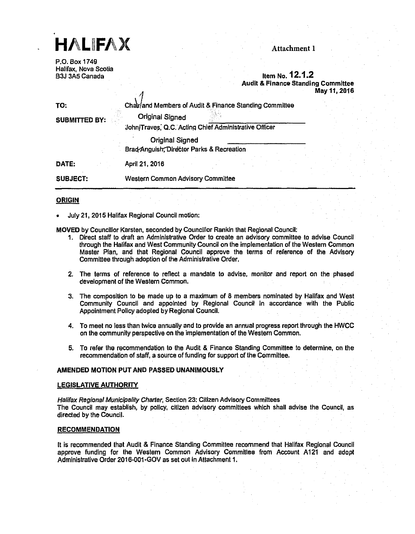

P.O. Box 1749 Halifax, Nova Scotia

# Item No. 12.1.2 Audit & Finance Standing Committee May 11, 2016

| TO:<br><b>SUBMITTED BY:</b> | Chalr/and Members of Audit & Finance Standing Committee<br><b>Original Signed</b> |  |  |  |  |
|-----------------------------|-----------------------------------------------------------------------------------|--|--|--|--|
|                             | John/Traves, Q.C. Acting Chief Administrative Officer                             |  |  |  |  |
|                             | <b>Original Signed</b><br>Brad Anguish, Director Parks & Recreation               |  |  |  |  |
| DATE:                       | April 21, 2016                                                                    |  |  |  |  |
| <b>SUBJECT:</b>             | <b>Western Common Advisory Committee</b>                                          |  |  |  |  |

## **ORIGIN**

• July 21, 2015 Halifax Regional Council motion:

А

MOVED by Councillor Karsten, seconded by Counciilor Rankin that Regional Council:

- 1. Direct staff to draft an Administrative Order to create an advisory committee to advise Council through the Halifax and West Community Council on the implementation of the Western Common Master Pian, and that Regional Council approve the terms of reference of the Advisory Commillee through adoption of the Adminlslralive Order.
- 2. The tenms of reference to refiecl a mandate lo advise, monitor and report on the phased development of the Western Common.
- 3. The composition to be made up to a maximum of 8 members nominated by Halifax and West Community Council and appointed by Regional Council In accordance with the Public Appointment Polley adopted by Regional Council.
- 4. To meet no less than twice annually and to provide an annual progress report through the HWCC on the community perspective on the implementation of the Western Common.
- 5. To refer the recommendation to the Audit & Finance Standing Committee to determine, on the recommendation of staff, a source of funding for support of the Committee.

## AMENDED MOTION PUT AND PASSED UNANIMOUSLY

## LEGISLATIVE AUTHORITY

Halifax Regional Municipality Charter, Section 23: Citizen Advisory Committees The Council may establish, by policy, citizen advisory committees which shall advise the Council, as directed by the Council.

## RECOMMENDATION

It is recommended that Audit & Finance Standing Committee recommend that Halifax Regional Council approve funding for the Western Common Advisory Committee from Account A 121 and adopt Administrative Order 2016-001-GOV as set out In Attachment 1.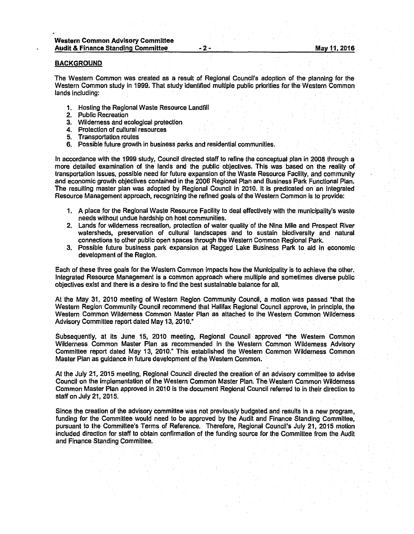#### **BACKGROUND**

The Western Common was created as a result of Regional Council's adoption of the planning for the Western Common study in 1999. That study identified multiple public priorities for the Western Common lands Including:

- 1. Hosting the Regional Waste Resource Landfill
- 2. Public Recreation
- 3. Wilderness and ecological protection
- 4. Protection of cultural resources
- 5. Transportation routes
- 6. Possible future growth In business parks and residential communities.

In accordance with the 1999 study, Council directed staff to refine the conceptual plan in 2008 through a more detailed examination of the lands and the public objectives. This was based on the reality of transportation Issues, possible need for future expansion of the Waste Resource Faclllty, and community and economic growth objectives contained in the 2006 Regional Plan and Business Park Functional Plan. The resulting master plan was adopted by Regional Council in 2010. It is predicated on an Integrated Resource Management approach, recognizing the refined goals of the Western Common is to provide:

- 1. A place for the Regional Waste Resource Faclllty to deal effectively with the municipality's waste needs without undue hardship on host communities.
- 2. Lands for wilderness recreation, protection of water quality of the Nine Mlle and Prospect River watersheds, preservation of cultural landscapes and lo sustain biodiversity and natural connections to other public open spaces through the Western Common Regional Park.
- 3. Possible future business park expansion at Ragged Lake Business Park to aid In economic development of the Region.

Each of these three goals for the Western Common impacts how the Municipality is to achieve the other. Integrated Resource Management is a common approach where multiple and sometimes diverse public objectives exist and there is a desire to find the best sustainable balance for all.

At the May 31, 2010 meeting of Western Region Community Council, a motion was passed "that the Western Region Community Council recommend that Halifax Reglonal Council approve, In principle, the Western Common Wilderness Common Master Plan as attached to the Western Common Wilderness Advisory Committee report dated May 13, 2010."

Subsequently, at Its June 15, 2010 meeting, Regional Council approved "the Western Common Wiiderness Common Master Plan as recommended in the Western Common Wiiderness Advisory Committee report dated May 13, 2010." This established the Western Common Wilderness Common Master Plan as guidance in future development of the Western Common.

At the July 21, 2015 meeting, Regional Council directed the creation of an advisory committee to advise Council on the implementation of the Western Common Master Plan. The Western Common Wiiderness Common Master Plan approved in 2010 is the document Regional Council referred to in their direction to staff on July 21, 2015.

Since the creation of the advisory committee was not previously budgeted and results in a new program, funding for the Committee would need to be approved by the Audit and Finance Standing Committee, pursuant to the Committee's Terms of Reference. Therefore, Regional Council's July 21, 2015 motion included direction for staff to obtain confirmation of the funding source for the Committee from the Audit and Finance Standing Committee.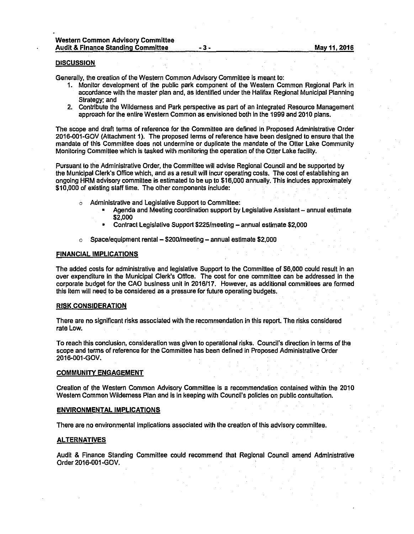#### **DISCUSSION**

Generally, the creation of the Western Common Advisory Committee is meant to:

- 1. Monitor development of the public park component of the Western Common Regional Park In accordance with the master plan and, as Identified under the Halifax Regional Munlclpal Planning Strategy; and
- 2. Contribute the Wiiderness and Park perspective as part of an Integrated Resource Management approach for the entire Western Common as envisioned both In the 1999 and 2010 plans.

The scope and draft terms of reference for the Commlltee are defined In Proposed Administrative Order 2016-001-GOV (Attachment 1). The proposed terms of reference have been designed lo ensure that the mandate of this Committee does not undermine or duplicate the mandate of the Otter Lake Community Monitoring Committee which is tasked with monitoring the operation of the Otter Lake facllity.

Pursuant lo the Administrative Order, the Committee will advise Regional Council and be supported by the Municipal Clerk's Office which, and as a result will incur operating costs. The cost of establishing an ongoing HRM advisory committee is estimated to be up to \$16,000 annually. This Includes approximately \$10,000 of existing staff time. The other components include:

- Administrative and Legislative Support to Committee:
	- Agenda and Meeting coordination support by Legislative Assistant annual estimate \$2,000
	- Contract Legislative Support \$225/meetlng annual esllmate \$2,000
- $\circ$  Space/equipment rental  $-$  \$200/meeting  $-$  annual estimate \$2,000

#### FINANCIAL IMPLICATIONS

The added costs for administrative and legislative Support to the Committee of \$6,000 could result In an over expenditure in the Municipal Clerk's Office. The cost for one committee can be addressed in the corporate budget for the CAO business unit in 2016/17. However, as additional committees are formed this Item will need to be considered as a pressure for future operating budgets.

#### RISK CONSIDERATION

There are no significant risks associated with the recommendation in this report. The risks considered rate Low.

To reach this conclusion, consideration was given to operational risks. Council's direction In terms of the scope and terms of reference for the Committee has been defined In Proposed Administrative Order 2016-001-GOV.

#### COMMUNITY ENGAGEMENT

Creation of the Western Common Advisory Committee is a recommendation contained within the 2010 Western Common Wilderness Plan and is In keeping with Council's policies on public consultation.

### ENVIRONMENTAL IMPLICATIONS

There are no environmental implications associated with the creation of this advisory committee.

#### ALTERNATIVES

Audit & Finance Standing Committee could recommend that Regional Council amend Administrative Order 2016-001-GOV.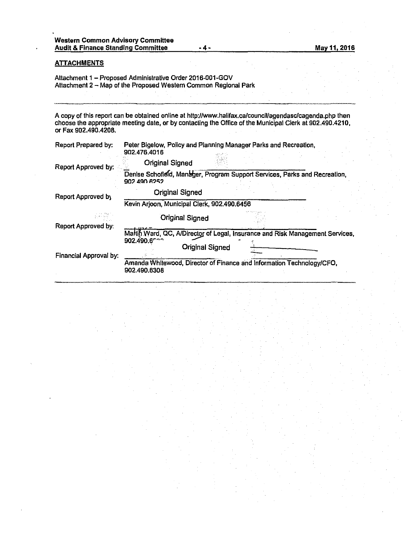# **ATTACHMENTS**

Attachment 1 - Proposed Administrative Order 2016-001-GOV Attachment 2 - Map of the Proposed Western Common Regional Park

A copy of this report can be obtained online at http://www.halifax.ca/council/agendasc/cagenda.php then choose the appropriate meeting date, or by contacting the Office of the Municipal Clerk at 902.490.4210, or Fax 902.490.4208.

| Report Prepared by:        | Peter Bigelow, Policy and Planning Manager Parks and Recreation,<br>902.476.4016           |  |  |  |
|----------------------------|--------------------------------------------------------------------------------------------|--|--|--|
| Report Approved by:        | <b>Original Signed</b>                                                                     |  |  |  |
|                            | Denise Schofield, Manager, Program Support Services, Parks and Recreation,<br>902 490 6252 |  |  |  |
| Report Approved by         | Original Signed                                                                            |  |  |  |
|                            | Kevin Arjoon, Municipal Clerk, 902.490.6456                                                |  |  |  |
|                            | <b>Original Signed</b>                                                                     |  |  |  |
| <b>Report Approved by:</b> |                                                                                            |  |  |  |
|                            | Martin Ward, QC, A/Director of Legal, Insurance and Risk Management Services,<br>902.490.6 |  |  |  |
| Financial Approval by:     | <b>Original Signed</b>                                                                     |  |  |  |
|                            |                                                                                            |  |  |  |
|                            | Amanda Whitewood, Director of Finance and Information Technology/CFO,<br>902,490,6308      |  |  |  |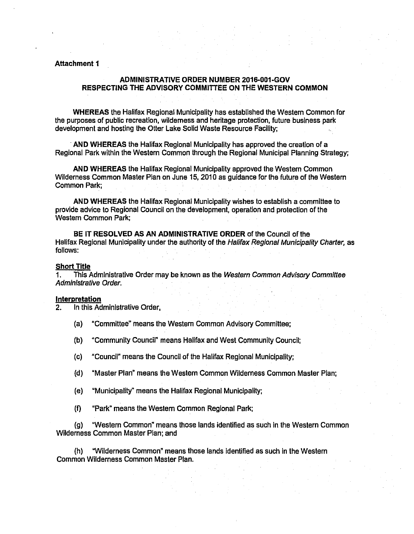# **Attachment 1**

# **ADMINISTRATIVE ORDER NUMBER 2016-001-GOV RESPECTING THE ADVISORY COMMITTEE ON THE WESTERN COMMON**

**WHEREAS** the Halifax Regional Municipality has established the Western Common for the purposes of public recreation, wilderness and heritage protection, future business park development and hosting the Otter Lake Solid Waste Resource Facility;

**·AND WHEREAS** the Halifax Regional Municipality has approved the creation of a Regional Park within the Western Common through the Regional Municipal Planning Strategy;

**AND WHEREAS** the Halifax Regional Municipality approved the Western Common Wilderness Common Master Plan on June 15, 2010 as guidance for the future of the Western Common Park;

**AND WHEREAS** the Halifax Regional Municipality wishes to establish a committee to provide advice to Regional Council on the development, operation and protection of the Western Common Park;

**BE IT RESOLVED AS AN ADMINISTRATIVE ORDER** of the Council of the Halifax Regional Municipality under the authority of the Halifax Regional Municipality Charter, as follows:

## **Short Title**

1. This Administrative Order may be known as the Western Common Advisory Committee Administrative Order.

## **Interpretation**

2. In this Administrative Order,

- (a) "Committee" means the Western Common Advisory Committee;
- (b) "Community Council" means Halifax and West Community Council;
- (c) "Council" means the Council of the Halifax Regional Municipality;
- (d) "Master Plan" means the Western Common Wilderness Common Master Plan;
- (e) "Municipality• means the Halifax Regional Municipality;
- (f) "Park" means the Western Common Regional Park;

(g) "Western Common· means those lands identified as such in the Western Common Wilderness Common Master Plan; and

(h) "Wilderness Common" means those lands identified as such in the Western Common Wilderness Common Master Plan.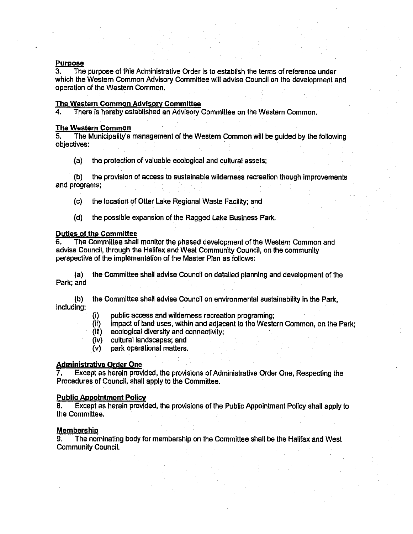# **Purpose**<br>3. The

3. The purpose of this Administrative Order is to establish the terms of reference under which the Western Common Advisory Committee will advise Council on the development and operation of the Western Common.

# The Western Common Advisory Committee

4. There is hereby established an Advisory Committee on the Western Common.

# The Western Common<br>5. The Municipality's

5. The Municipality's management of the Western Common will be guided by the following objectives:

(a) the protection of valuable ecological and cultural assets;

(b) the provision of access to sustainable wilderness recreation though improvements and programs;

- (c) the location of Otter Lake Regional Waste Facility; and
- (d) the possible expansion of the Ragged Lake Business Park.

# Duties of the Committee

6. The Committee shall monitor the phased development of the Western Common and advise Council, through the Halifax and West Community Council, on the community perspective of the Implementation of the Master Plan as follows:

(a) the Committee shall advise Council on detailed planning and development of the Park; and

(b) the Committee shall advise Council on environmental sustainability in the Park, Including:

- (i) public access and wilderness recreation programing;
- (ii) impact of land uses, within and adjacent to the Western Common, on the Park;<br>(iii) ecological diversity and connectivity;
- ecological diversity and connectivity;
- (iv) cultural landscapes; and
- (v) park operational matters.

# Administrative Order One

7. Except as herein provided, the provisions of Administrative Order One, Respecting the Procedures of Council, shall apply to the Committee.

# Public Appointment Policy

8. Except as herein provided, the provisions of the Public Appointment Polley shall apply to the Committee.

# Membership

9. The nominating body for membership on the Committee shall be the Halifax and West Community Council.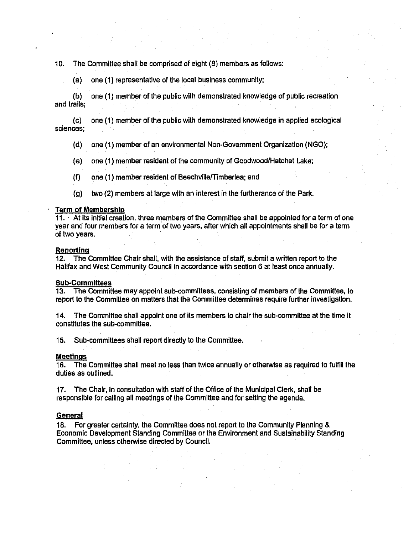# 10. The Committee shall be comprised of eight (8) members as follows:

(a) one (1) representative of the local business community;

(b) one (1) member of the public with demonstrated knowledge of public recreation and trails;

(c) one (1) member of the public with demonstrated knowledge in applied ecological sciences;

- (d) one (1) member of an environmental Non-Government Organization (NGO);
- (e) one (1) member resident of the community of Goodwood/Hatchet Lake;
- (f) one ( 1) member resident of Beechville/Timberlea; and
- (g) two (2) members at large with an interest In the furtherance of the Park.

## Term of Membership

11. · At Its Initial creation, three members of the Committee shall be appointed for a term of one year and four members for a tenm of two years, after which all appointments shall be for a term of two years.

## Reporting

12. The Committee Chair shall, with the assistance of staff, submit a written report to the Halifax and West Community Council in accordance with section 6 at least once annually.

## Sub-Committees

13. The Committee may appoint sub-committees, consisting of members of the Committee, to report to the Committee on matters that the Committee determines require further investigation.

14. The Committee shall appoint one of its members to chair the sub-committee at the time it constitutes the sub-committee.

15. Sub-committees shall report directly to the Committee.

## Meetings

16. The Committee shall meet no less than twice annually or otherwise as required to fulfill the duties as outlined.

17. The Chair, in consultation with staff of the Office of the Municipal Clerk, shall be responsible for calling all meetings of the Committee and for selling the agenda.

# **General**

18. For greater certainty, the Committee does not report lo the Community Planning & Economic Development Standing Committee or the Environment and Sustainability Standing Committee, unless otherwise directed by Council.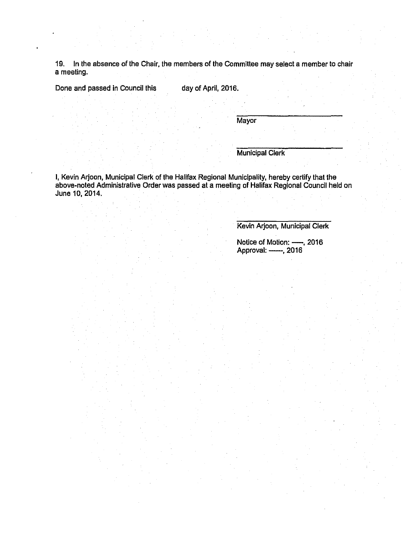19. In the absence of the Chair, the members of the Committee may select a member to chair a meeting.

Done and passed in Council this day of April, 2016.

**Mayor** 

Municipal Clerk

I, Kevin Arjoon, Municipal Clerk of the Halifax Regional Municipality, hereby certify that the above-noted Administrative Order was passed at a meeting of Halifax Regional Council held on June 10, 2014.

Kevin Arjoon, Municipal Clerk

Notice of Motion: —, 2016 Approval: ——, 2016